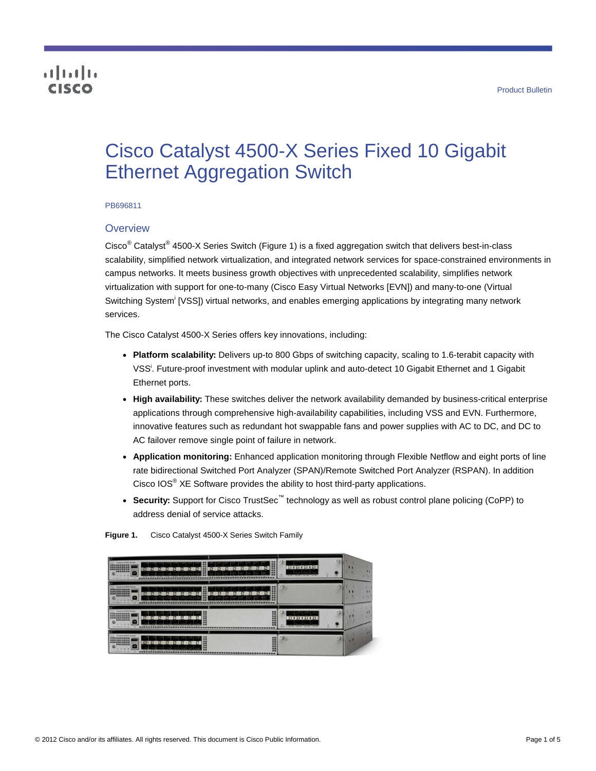# altalia cisco

# Cisco Catalyst 4500-X Series Fixed 10 Gigabit Ethernet Aggregation Switch

#### PB696811

### **Overview**

Cisco<sup>®</sup> Catalyst<sup>®</sup> 4500-X Series Switch (Figure 1) is a fixed aggregation switch that delivers best-in-class scalability, simplified network virtualization, and integrated network services for space-constrained environments in campus networks. It meets business growth objectives with unprecedented scalability, simplifies network virtualization with support for one-to-many (Cisco Easy Virtual Networks [EVN]) and many-to-one (Virtual Switching System<sup>i</sup> [VSS]) virtual networks, and enables emerging applications by integrating many network services.

The Cisco Catalyst 4500-X Series offers key innovations, including:

- <span id="page-0-0"></span>● **Platform scalability:** Delivers up-to 800 Gbps of switching capacity, scaling to 1.6-terabit capacity with VSS[i](#page-0-0) . Future-proof investment with modular uplink and auto-detect 10 Gigabit Ethernet and 1 Gigabit Ethernet ports.
- **High availability:** These switches deliver the network availability demanded by business-critical enterprise applications through comprehensive high-availability capabilities, including VSS and EVN. Furthermore, innovative features such as redundant hot swappable fans and power supplies with AC to DC, and DC to AC failover remove single point of failure in network.
- **Application monitoring:** Enhanced application monitoring through Flexible Netflow and eight ports of line rate bidirectional Switched Port Analyzer (SPAN)/Remote Switched Port Analyzer (RSPAN). In addition Cisco IOS $^{\circ}$  XE Software provides the ability to host third-party applications.
- Security: Support for Cisco TrustSec<sup>™</sup> technology as well as robust control plane policing (CoPP) to address denial of service attacks.

| $\frac{1}{2}$<br><b>ANDRE</b><br><b>THEY FILE</b><br>$\overline{\mathbf{r}}$<br>ш<br>$\overline{1}$<br><b>AV  27</b><br>1.4747<br>$\overline{1}$<br>$\overline{AB}$<br>$\rightarrow$<br>14<br><b>UES EN COLUMN SURFACE DE SURFACE DE LA CARACTER DE</b><br>_<br>in a substitute of the company of a field at the field of the field of the second state<br>on and the child rate.<br>$\sim$                                       | $2 - 30$<br>and and and an<br>to will be well be will be will<br><b>STATE</b>                                                                                   |  |
|-----------------------------------------------------------------------------------------------------------------------------------------------------------------------------------------------------------------------------------------------------------------------------------------------------------------------------------------------------------------------------------------------------------------------------------|-----------------------------------------------------------------------------------------------------------------------------------------------------------------|--|
| Catalyst 43003 Series<br>$-$<br>W<br>- 77<br>w<br>$\overline{A}$<br>ar marc<br>13 T<br>$\mathbf{H}$<br>1127<br><b>1999</b><br><b>STATISTICS</b><br><b>AVANT</b><br><b>The Second</b><br><b>A</b><br><b>1250</b><br><b>Security</b><br><b>CONTRACTORIUM ENGINEERISCHE PROFILEREN SEINER SEINER</b><br>--------------------------------------<br>on trials by the sea-<br>-                                                         | W                                                                                                                                                               |  |
| Color Colorado 45000 Series<br><b>ESHENBER</b><br>$-47.147$<br>$\overline{1}$<br>$\overline{1}$<br>********<br>m<br><br><b>HET IN CHRISTING HERE'S A COMET IN ASSIST THAT HE ARE RELETED.</b><br>the children with 1 start when<br>٠<br>---------                                                                                                                                                                                 | AT 8 AT 8 AT 8 AT<br><b>The State of the State of the State of the State of the State of the State of the State of the State of the State</b><br><b>COLLECT</b> |  |
| Collabora #3003 Sontac<br><b>COLOR</b><br>----------<br><b>AMIL AV</b><br><b>TEXT SEAT SEAT 12 17</b><br>$\overline{1}$<br><b>A</b><br><br><b>THE APPET IN A REPORT FOR THE REPORT OF A REPORT OF A REPORT OF A REPORT OF A REPORT OF A REPORT OF A REPORT OF A REPORT OF A REPORT OF A REPORT OF A REPORT OF A REPORT OF A REPORT OF A REPORT OF A REPORT OF A REPORT OF A</b><br>and descriptions from their<br><b>Card</b><br> | w<br>×                                                                                                                                                          |  |

**Figure 1.** Cisco Catalyst 4500-X Series Switch Family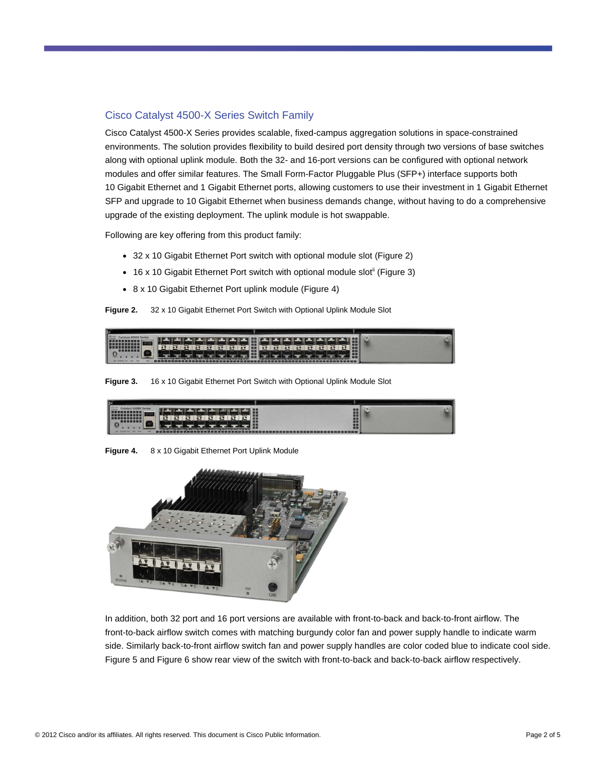# Cisco Catalyst 4500-X Series Switch Family

Cisco Catalyst 4500-X Series provides scalable, fixed-campus aggregation solutions in space-constrained environments. The solution provides flexibility to build desired port density through two versions of base switches along with optional uplink module. Both the 32- and 16-port versions can be configured with optional network modules and offer similar features. The Small Form-Factor Pluggable Plus (SFP+) interface supports both 10 Gigabit Ethernet and 1 Gigabit Ethernet ports, allowing customers to use their investment in 1 Gigabit Ethernet SFP and upgrade to 10 Gigabit Ethernet when business demands change, without having to do a comprehensive upgrade of the existing deployment. The uplink module is hot swappable.

Following are key offering from this product family:

- <span id="page-1-0"></span>• 32 x 10 Gigabit Ethernet Port switch with optional module slot (Figure 2)
- 16 x 10 Gigabit Ethernet Port switch with optional module slot<sup>ii</sup> (Figure 3)
- 8 x 10 Gigabit Ethernet Port uplink module (Figure 4)

**Figure 2.** 32 x 10 Gigabit Ethernet Port Switch with Optional Uplink Module Slot



**Figure 3.** 16 x 10 Gigabit Ethernet Port Switch with Optional Uplink Module Slot

| ID<br>. .<br>_____<br><b>PERSONAL PROPERTY AND INCOME.</b><br>∽<br>_<br>,<br>ı | m<br><b>HANGE</b><br>■■ |  |
|--------------------------------------------------------------------------------|-------------------------|--|

**Figure 4.** 8 x 10 Gigabit Ethernet Port Uplink Module



In addition, both 32 port and 16 port versions are available with front-to-back and back-to-front airflow. The front-to-back airflow switch comes with matching burgundy color fan and power supply handle to indicate warm side. Similarly back-to-front airflow switch fan and power supply handles are color coded blue to indicate cool side. Figure 5 and Figure 6 show rear view of the switch with front-to-back and back-to-back airflow respectively.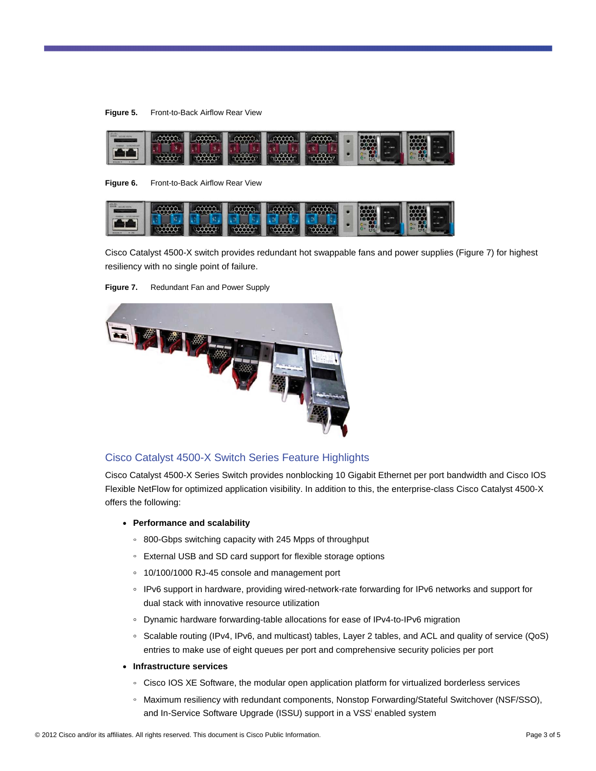



**Figure 6.** Front-to-Back Airflow Rear View



Cisco Catalyst 4500-X switch provides redundant hot swappable fans and power supplies (Figure 7) for highest resiliency with no single point of failure.



**Figure 7.** Redundant Fan and Power Supply

# Cisco Catalyst 4500-X Switch Series Feature Highlights

Cisco Catalyst 4500-X Series Switch provides nonblocking 10 Gigabit Ethernet per port bandwidth and Cisco IOS Flexible NetFlow for optimized application visibility. In addition to this, the enterprise-class Cisco Catalyst 4500-X offers the following:

- **Performance and scalability** 
	- 800-Gbps switching capacity with 245 Mpps of throughput
	- External USB and SD card support for flexible storage options
	- 10/100/1000 RJ-45 console and management port
	- IPv6 support in hardware, providing wired-network-rate forwarding for IPv6 networks and support for dual stack with innovative resource utilization
	- Dynamic hardware forwarding-table allocations for ease of IPv4-to-IPv6 migration
	- Scalable routing (IPv4, IPv6, and multicast) tables, Layer 2 tables, and ACL and quality of service (QoS) entries to make use of eight queues per port and comprehensive security policies per port
- **Infrastructure services** 
	- Cisco IOS XE Software, the modular open application platform for virtualized borderless services
	- Maximum resiliency with redundant components, Nonstop Forwarding/Stateful Switchover (NSF/SSO), and In-Serv[i](#page-0-0)ce Software Upgrade (ISSU) support in a VSS<sup>i</sup> enabled system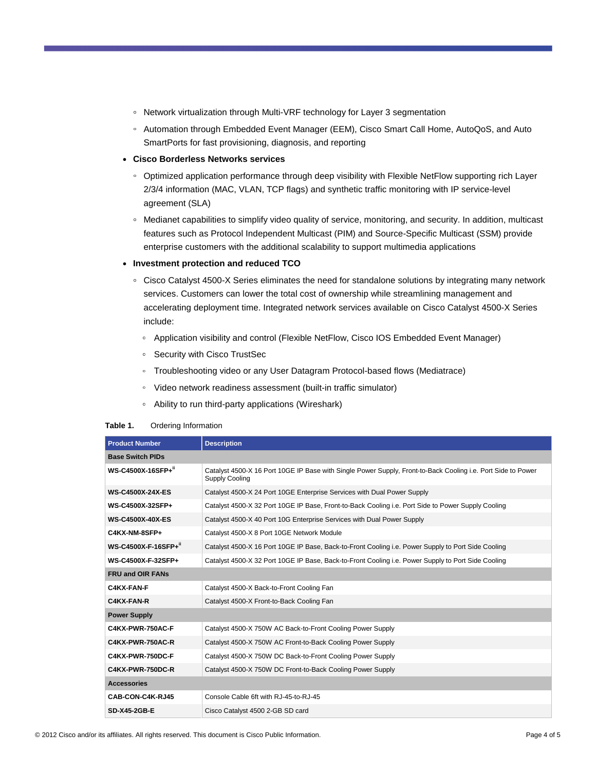- Network virtualization through Multi-VRF technology for Layer 3 segmentation
- Automation through Embedded Event Manager (EEM), Cisco Smart Call Home, AutoQoS, and Auto SmartPorts for fast provisioning, diagnosis, and reporting
- **Cisco Borderless Networks services** 
	- Optimized application performance through deep visibility with Flexible NetFlow supporting rich Layer 2/3/4 information (MAC, VLAN, TCP flags) and synthetic traffic monitoring with IP service-level agreement (SLA)
	- Medianet capabilities to simplify video quality of service, monitoring, and security. In addition, multicast features such as Protocol Independent Multicast (PIM) and Source-Specific Multicast (SSM) provide enterprise customers with the additional scalability to support multimedia applications
- **Investment protection and reduced TCO** 
	- Cisco Catalyst 4500-X Series eliminates the need for standalone solutions by integrating many network services. Customers can lower the total cost of ownership while streamlining management and accelerating deployment time. Integrated network services available on Cisco Catalyst 4500-X Series include:
		- Application visibility and control (Flexible NetFlow, Cisco IOS Embedded Event Manager)
		- Security with Cisco TrustSec
		- Troubleshooting video or any User Datagram Protocol-based flows (Mediatrace)
		- Video network readiness assessment (built-in traffic simulator)
		- Ability to run third-party applications (Wireshark)

#### **Table 1.** Ordering Information

| <b>Product Number</b>   | <b>Description</b>                                                                                                                    |  |
|-------------------------|---------------------------------------------------------------------------------------------------------------------------------------|--|
| <b>Base Switch PIDs</b> |                                                                                                                                       |  |
| WS-C4500X-16SFP+"       | Catalyst 4500-X 16 Port 10GE IP Base with Single Power Supply, Front-to-Back Cooling i.e. Port Side to Power<br><b>Supply Cooling</b> |  |
| <b>WS-C4500X-24X-ES</b> | Catalyst 4500-X 24 Port 10GE Enterprise Services with Dual Power Supply                                                               |  |
| WS-C4500X-32SFP+        | Catalyst 4500-X 32 Port 10GE IP Base, Front-to-Back Cooling i.e. Port Side to Power Supply Cooling                                    |  |
| <b>WS-C4500X-40X-ES</b> | Catalyst 4500-X 40 Port 10G Enterprise Services with Dual Power Supply                                                                |  |
| C4KX-NM-8SFP+           | Catalyst 4500-X 8 Port 10GE Network Module                                                                                            |  |
| WS-C4500X-F-16SFP+"     | Catalyst 4500-X 16 Port 10GE IP Base, Back-to-Front Cooling i.e. Power Supply to Port Side Cooling                                    |  |
| WS-C4500X-F-32SFP+      | Catalyst 4500-X 32 Port 10GE IP Base, Back-to-Front Cooling i.e. Power Supply to Port Side Cooling                                    |  |
| <b>FRU and OIR FANS</b> |                                                                                                                                       |  |
| C4KX-FAN-F              | Catalyst 4500-X Back-to-Front Cooling Fan                                                                                             |  |
| C4KX-FAN-R              | Catalyst 4500-X Front-to-Back Cooling Fan                                                                                             |  |
| <b>Power Supply</b>     |                                                                                                                                       |  |
| C4KX-PWR-750AC-F        | Catalyst 4500-X 750W AC Back-to-Front Cooling Power Supply                                                                            |  |
| C4KX-PWR-750AC-R        | Catalyst 4500-X 750W AC Front-to-Back Cooling Power Supply                                                                            |  |
| C4KX-PWR-750DC-F        | Catalyst 4500-X 750W DC Back-to-Front Cooling Power Supply                                                                            |  |
| C4KX-PWR-750DC-R        | Catalyst 4500-X 750W DC Front-to-Back Cooling Power Supply                                                                            |  |
| <b>Accessories</b>      |                                                                                                                                       |  |
| CAB-CON-C4K-RJ45        | Console Cable 6ft with RJ-45-to-RJ-45                                                                                                 |  |
| SD-X45-2GB-E            | Cisco Catalyst 4500 2-GB SD card                                                                                                      |  |